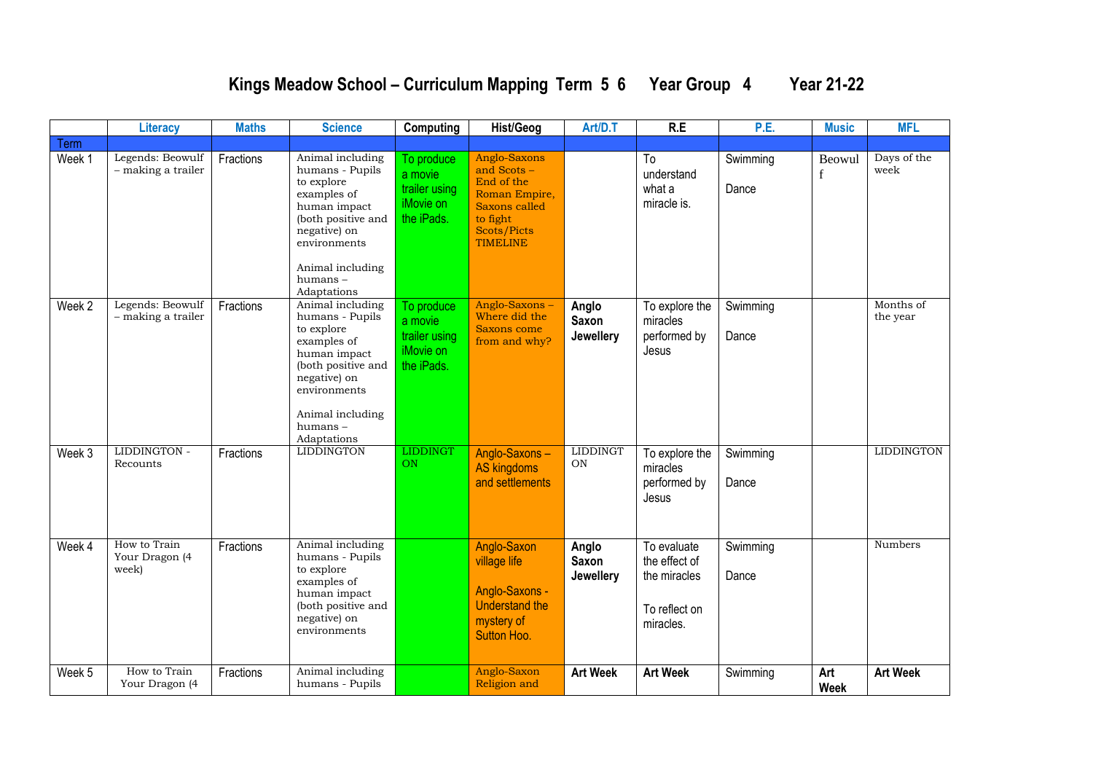## **Kings Meadow School – Curriculum Mapping Term 5 6 Year Group 4 Year 21-22**

|        | <b>Literacy</b>                         | <b>Maths</b> | <b>Science</b>                                                                                                                                                                       | Computing                                                         | <b>Hist/Geog</b>                                                                                                                 | Art/D.T                                   | R.E                                                                        | P.E.              | <b>Music</b>           | <b>MFL</b>            |
|--------|-----------------------------------------|--------------|--------------------------------------------------------------------------------------------------------------------------------------------------------------------------------------|-------------------------------------------------------------------|----------------------------------------------------------------------------------------------------------------------------------|-------------------------------------------|----------------------------------------------------------------------------|-------------------|------------------------|-----------------------|
| Term   |                                         |              |                                                                                                                                                                                      |                                                                   |                                                                                                                                  |                                           |                                                                            |                   |                        |                       |
| Week 1 | Legends: Beowulf<br>- making a trailer  | Fractions    | Animal including<br>humans - Pupils<br>to explore<br>examples of<br>human impact<br>(both positive and<br>negative) on<br>environments<br>Animal including<br>humans-<br>Adaptations | To produce<br>a movie<br>trailer using<br>iMovie on<br>the iPads. | Anglo-Saxons<br>and Scots -<br>End of the<br>Roman Empire,<br>Saxons called<br>to fight<br><b>Scots/Picts</b><br><b>TIMELINE</b> |                                           | To<br>understand<br>what a<br>miracle is.                                  | Swimming<br>Dance | Beowul<br>$\mathbf{f}$ | Days of the<br>week   |
| Week 2 | Legends: Beowulf<br>- making a trailer  | Fractions    | Animal including<br>humans - Pupils<br>to explore<br>examples of<br>human impact<br>(both positive and<br>negative) on<br>environments<br>Animal including<br>humans-<br>Adaptations | To produce<br>a movie<br>trailer using<br>iMovie on<br>the iPads. | Anglo-Saxons-<br>Where did the<br>Saxons come<br>from and why?                                                                   | Anglo<br><b>Saxon</b><br>Jewellery        | To explore the<br>miracles<br>performed by<br>Jesus                        | Swimming<br>Dance |                        | Months of<br>the year |
| Week 3 | LIDDINGTON -<br>Recounts                | Fractions    | <b>LIDDINGTON</b>                                                                                                                                                                    | <b>LIDDINGT</b><br><b>ON</b>                                      | Anglo-Saxons-<br><b>AS kingdoms</b><br>and settlements                                                                           | <b>LIDDINGT</b><br>ON                     | To explore the<br>miracles<br>performed by<br>Jesus                        | Swimming<br>Dance |                        | <b>LIDDINGTON</b>     |
| Week 4 | How to Train<br>Your Dragon (4<br>week) | Fractions    | Animal including<br>humans - Pupils<br>to explore<br>examples of<br>human impact<br>(both positive and<br>negative) on<br>environments                                               |                                                                   | Anglo-Saxon<br>village life<br>Anglo-Saxons -<br><b>Understand the</b><br>mystery of<br>Sutton Hoo.                              | Anglo<br><b>Saxon</b><br><b>Jewellery</b> | To evaluate<br>the effect of<br>the miracles<br>To reflect on<br>miracles. | Swimming<br>Dance |                        | Numbers               |
| Week 5 | How to Train<br>Your Dragon (4          | Fractions    | Animal including<br>humans - Pupils                                                                                                                                                  |                                                                   | Anglo-Saxon<br>Religion and                                                                                                      | <b>Art Week</b>                           | <b>Art Week</b>                                                            | Swimming          | Art<br><b>Week</b>     | <b>Art Week</b>       |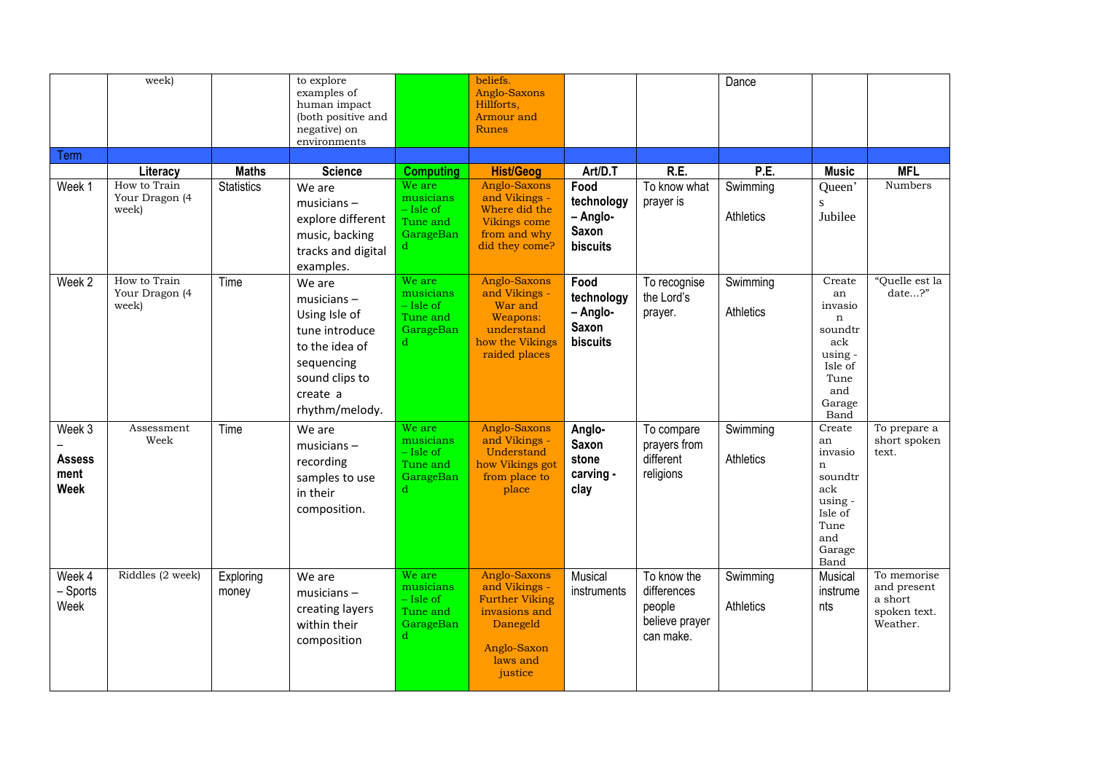|                                                | week)                                               |                                   | to explore<br>examples of<br>human impact<br>(both positive and<br>negative) on<br>environments                                            |                                                                                 | beliefs.<br>Anglo-Saxons<br>Hillforts,<br>Armour and<br><b>Runes</b>                                                      |                                                                       |                                                                     | Dance                         |                                                                                                                 |                                                                   |
|------------------------------------------------|-----------------------------------------------------|-----------------------------------|--------------------------------------------------------------------------------------------------------------------------------------------|---------------------------------------------------------------------------------|---------------------------------------------------------------------------------------------------------------------------|-----------------------------------------------------------------------|---------------------------------------------------------------------|-------------------------------|-----------------------------------------------------------------------------------------------------------------|-------------------------------------------------------------------|
| Term                                           |                                                     |                                   |                                                                                                                                            |                                                                                 |                                                                                                                           |                                                                       |                                                                     |                               |                                                                                                                 |                                                                   |
| Week 1                                         | Literacy<br>How to Train<br>Your Dragon (4<br>week) | <b>Maths</b><br><b>Statistics</b> | <b>Science</b><br>We are<br>$musicians -$<br>explore different<br>music, backing<br>tracks and digital<br>examples.                        | <b>Computing</b><br>We are<br>musicians<br>$-$ Isle of<br>Tune and<br>GarageBan | <b>Hist/Geog</b><br>Anglo-Saxons<br>and Vikings -<br>Where did the<br>Vikings come<br>from and why<br>did they come?      | Art/D.T<br>Food<br>technology<br>- Anglo-<br><b>Saxon</b><br>biscuits | R.E.<br>To know what<br>prayer is                                   | P.E.<br>Swimming<br>Athletics | <b>Music</b><br>Queen'<br>S<br>Jubilee                                                                          | <b>MFL</b><br>Numbers                                             |
| Week 2                                         | How to Train<br>Your Dragon (4<br>week)             | Time                              | We are<br>$musicians -$<br>Using Isle of<br>tune introduce<br>to the idea of<br>sequencing<br>sound clips to<br>create a<br>rhythm/melody. | We are<br>musicians<br>- Isle of<br>Tune and<br>GarageBan<br>d                  | Anglo-Saxons<br>and Vikings -<br>War and<br>Weapons:<br>understand<br>how the Vikings<br>raided places                    | Food<br>technology<br>- Anglo-<br>Saxon<br>biscuits                   | To recognise<br>the Lord's<br>prayer.                               | Swimming<br>Athletics         | Create<br>an<br>invasio<br>n<br>soundtr<br>ack<br>using -<br>Isle of<br>Tune<br>and<br>Garage<br>Band           | "Quelle est la<br>date?"                                          |
| Week 3<br><b>Assess</b><br>ment<br><b>Week</b> | Assessment<br>Week                                  | Time                              | We are<br>$musicians -$<br>recording<br>samples to use<br>in their<br>composition.                                                         | We are<br>musicians<br>$-$ Isle of<br>Tune and<br>GarageBan<br>d                | Anglo-Saxons<br>and Vikings -<br>Understand<br>how Vikings got<br>from place to<br>place                                  | Anglo-<br>Saxon<br>stone<br>carving -<br>clay                         | To compare<br>prayers from<br>different<br>religions                | Swimming<br>Athletics         | Create<br>an<br>invasio<br>$\mathbf n$<br>soundtr<br>ack<br>using -<br>Isle of<br>Tune<br>and<br>Garage<br>Band | To prepare a<br>short spoken<br>text.                             |
| Week 4<br>- Sports<br>Week                     | Riddles (2 week)                                    | Exploring<br>money                | We are<br>$musicians -$<br>creating layers<br>within their<br>composition                                                                  | We are<br>musicians<br>$-$ Isle of<br>Tune and<br>GarageBan<br>d                | Anglo-Saxons<br>and Vikings -<br><b>Further Viking</b><br>invasions and<br>Danegeld<br>Anglo-Saxon<br>laws and<br>justice | Musical<br>instruments                                                | To know the<br>differences<br>people<br>believe prayer<br>can make. | Swimming<br>Athletics         | <b>Musical</b><br>instrume<br>nts                                                                               | To memorise<br>and present<br>a short<br>spoken text.<br>Weather. |